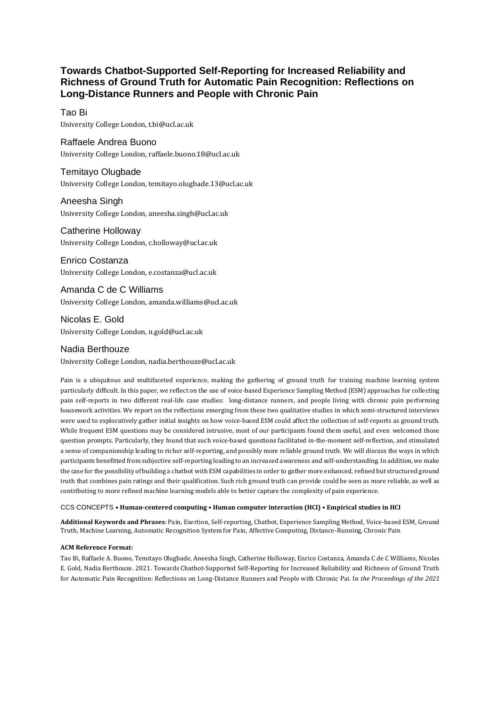# **Towards Chatbot-Supported Self-Reporting for Increased Reliability and Richness of Ground Truth for Automatic Pain Recognition: Reflections on Long-Distance Runners and People with Chronic Pain**

## Tao Bi

University College London, t.bi@ucl.ac.uk

# Raffaele Andrea Buono

University College London, raffaele.buono.18@ucl.ac.uk

## Temitayo Olugbade University College London, temitayo.olugbade.13@ucl.ac.uk

Aneesha Singh

University College London, aneesha.singh@ucl.ac.uk

# Catherine Holloway

University College London, c.holloway@ucl.ac.uk

Enrico Costanza University College London, e.costanza@ucl.ac.uk

Amanda C de C Williams University College London, amanda.williams@ucl.ac.uk

Nicolas E. Gold University College London, n.gold@ucl.ac.uk

# Nadia Berthouze

University College London, nadia.berthouze@ucl.ac.uk

Pain is a ubiquitous and multifaceted experience, making the gathering of ground truth for training machine learning system particularly difficult. In this paper, we reflect on the use of voice-based Experience Sampling Method (ESM) approaches for collecting pain self-reports in two different real-life case studies: long-distance runners, and people living with chronic pain performing housework activities. We report on the reflections emerging from these two qualitative studies in which semi-structured interviews were used to exploratively gather initial insights on how voice-based ESM could affect the collection of self-reports as ground truth. While frequent ESM questions may be considered intrusive, most of our participants found them useful, and even welcomed those question prompts. Particularly, they found that such voice-based questions facilitated in-the-moment self-reflection, and stimulated a sense of companionship leading to richer self-reporting, and possibly more reliable ground truth. We will discuss the ways in which participants benefitted from subjective self-reporting leading to an increased awareness and self-understanding. In addition, we make the case for the possibility of building a chatbot with ESM capabilities in order to gather more enhanced, refined but structured ground truth that combines pain ratings and their qualification. Such rich ground truth can provide could be seen as more reliable, as well as contributing to more refined machine learning models able to better capture the complexity of pain experience.

#### CCS CONCEPTS **• Human-centered computing • Human computer interaction (HCI) • Empirical studies in HCI**

**Additional Keywords and Phrases**: Pain, Exertion, Self-reporting, Chatbot, Experience Sampling Method, Voice-based ESM, Ground Truth, Machine Learning, Automatic Recognition System for Pain, Affective Computing, Distance-Running, Chronic Pain

#### **ACM Reference Format:**

Tao Bi, Raffaele A. Buono, Temitayo Olugbade, Aneesha Singh, Catherine Holloway, Enrico Costanza, Amanda C de C Williams, Nicolas E. Gold, Nadia Berthouze. 2021. Towards Chatbot-Supported Self-Reporting for Increased Reliability and Richness of Ground Truth for Automatic Pain Recognition: Reflections on Long-Distance Runners and People with Chronic Pai. In *the Proceedings of the 2021*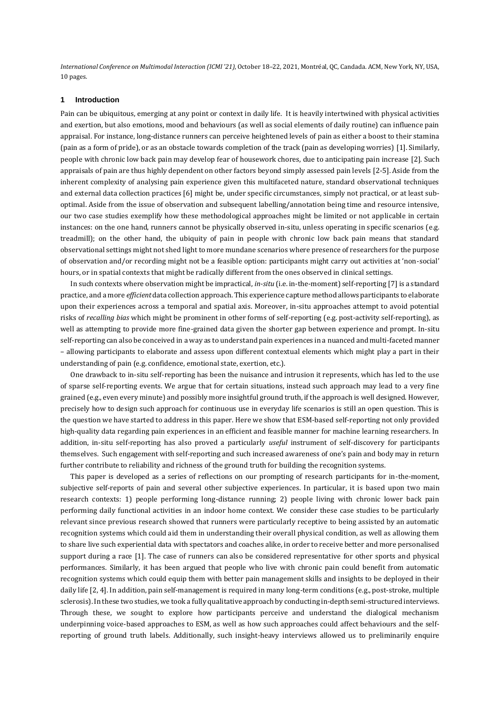*International Conference on Multimodal Interaction (ICMI '21)*, October 18–22, 2021, Montréal, QC, Candada. ACM, New York, NY, USA, 10 pages.

#### **1 Introduction**

Pain can be ubiquitous, emerging at any point or context in daily life. It is heavily intertwined with physical activities and exertion, but also emotions, mood and behaviours (as well as social elements of daily routine) can influence pain appraisal. For instance, long-distance runners can perceive heightened levels of pain as either a boost to their stamina (pain as a form of pride), or as an obstacle towards completion of the track (pain as developing worries) [\[1\]](#page-13-0). Similarly, people with chronic low back pain may develop fear of housework chores, due to anticipating pain increase [\[2\]](#page-13-1). Such appraisals of pain are thus highly dependent on other factors beyond simply assessed pain levels [\[2-5\]](#page-13-1). Aside from the inherent complexity of analysing pain experience given this multifaceted nature, standard observational techniques and external data collection practices [\[6\]](#page-13-2) might be, under specific circumstances, simply not practical, or at least suboptimal. Aside from the issue of observation and subsequent labelling/annotation being time and resource intensive, our two case studies exemplify how these methodological approaches might be limited or not applicable in certain instances: on the one hand, runners cannot be physically observed in-situ, unless operating in specific scenarios (e.g. treadmill); on the other hand, the ubiquity of pain in people with chronic low back pain means that standard observational settings might not shed light to more mundane scenarios where presence of researchers for the purpose of observation and/or recording might not be a feasible option: participants might carry out activities at 'non-social' hours, or in spatial contexts that might be radically different from the ones observed in clinical settings.

In such contexts where observation might be impractical, *in-situ* (i.e. in-the-moment) self-reporting [\[7\]](#page-13-3) is a standard practice, and a more *efficient* data collection approach. This experience capture method allows participants to elaborate upon their experiences across a temporal and spatial axis. Moreover, in-situ approaches attempt to avoid potential risks of *recalling bias* which might be prominent in other forms of self-reporting (e.g. post-activity self-reporting), as well as attempting to provide more fine-grained data given the shorter gap between experience and prompt. In-situ self-reporting can also be conceived in a way as to understand pain experiences in a nuanced and multi-faceted manner – allowing participants to elaborate and assess upon different contextual elements which might play a part in their understanding of pain (e.g. confidence, emotional state, exertion, etc.).

One drawback to in-situ self-reporting has been the nuisance and intrusion it represents, which has led to the use of sparse self-reporting events. We argue that for certain situations, instead such approach may lead to a very fine grained (e.g., even every minute) and possibly more insightful ground truth, if the approach is well designed. However, precisely how to design such approach for continuous use in everyday life scenarios is still an open question. This is the question we have started to address in this paper. Here we show that ESM-based self-reporting not only provided high-quality data regarding pain experiences in an efficient and feasible manner for machine learning researchers. In addition, in-situ self-reporting has also proved a particularly *useful* instrument of self-discovery for participants themselves. Such engagement with self-reporting and such increased awareness of one's pain and body may in return further contribute to reliability and richness of the ground truth for building the recognition systems.

This paper is developed as a series of reflections on our prompting of research participants for in-the-moment, subjective self-reports of pain and several other subjective experiences. In particular, it is based upon two main research contexts: 1) people performing long-distance running; 2) people living with chronic lower back pain performing daily functional activities in an indoor home context. We consider these case studies to be particularly relevant since previous research showed that runners were particularly receptive to being assisted by an automatic recognition systems which could aid them in understanding their overall physical condition, as well as allowing them to share live such experiential data with spectators and coaches alike, in order to receive better and more personalised support during a race [\[1\]](#page-13-0). The case of runners can also be considered representative for other sports and physical performances. Similarly, it has been argued that people who live with chronic pain could benefit from automatic recognition systems which could equip them with better pain management skills and insights to be deployed in their daily life [\[2,](#page-13-1) [4\]](#page-13-4). In addition, pain self-management is required in many long-term conditions (e.g., post-stroke, multiple sclerosis). In these two studies, we took a fully qualitative approach by conducting in-depth semi-structured interviews. Through these, we sought to explore how participants perceive and understand the dialogical mechanism underpinning voice-based approaches to ESM, as well as how such approaches could affect behaviours and the selfreporting of ground truth labels. Additionally, such insight-heavy interviews allowed us to preliminarily enquire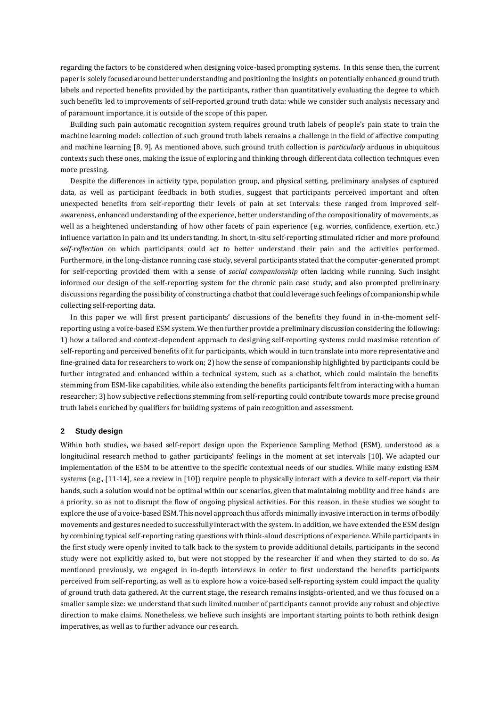regarding the factors to be considered when designing voice-based prompting systems. In this sense then, the current paper is solely focused around better understanding and positioning the insights on potentially enhanced ground truth labels and reported benefits provided by the participants, rather than quantitatively evaluating the degree to which such benefits led to improvements of self-reported ground truth data: while we consider such analysis necessary and of paramount importance, it is outside of the scope of this paper.

Building such pain automatic recognition system requires ground truth labels of people's pain state to train the machine learning model: collection of such ground truth labels remains a challenge in the field of affective computing and machine learning [\[8,](#page-13-5) [9\]](#page-13-6). As mentioned above, such ground truth collection is *particularly* arduous in ubiquitous contexts such these ones, making the issue of exploring and thinking through different data collection techniques even more pressing.

Despite the differences in activity type, population group, and physical setting, preliminary analyses of captured data, as well as participant feedback in both studies, suggest that participants perceived important and often unexpected benefits from self-reporting their levels of pain at set intervals: these ranged from improved selfawareness, enhanced understanding of the experience, better understanding of the compositionality of movements, as well as a heightened understanding of how other facets of pain experience (e.g. worries, confidence, exertion, etc.) influence variation in pain and its understanding. In short, in-situ self-reporting stimulated richer and more profound *self-reflection* on which participants could act to better understand their pain and the activities performed. Furthermore, in the long-distance running case study, several participants stated that the computer-generated prompt for self-reporting provided them with a sense of *social companionship* often lacking while running. Such insight informed our design of the self-reporting system for the chronic pain case study, and also prompted preliminary discussions regarding the possibility of constructing a chatbot that could leverage such feelings of companionship while collecting self-reporting data.

In this paper we will first present participants' discussions of the benefits they found in in-the-moment selfreporting using a voice-based ESM system. We then further provide a preliminary discussion considering the following: 1) how a tailored and context-dependent approach to designing self-reporting systems could maximise retention of self-reporting and perceived benefits of it for participants, which would in turn translate into more representative and fine-grained data for researchers to work on; 2) how the sense of companionship highlighted by participants could be further integrated and enhanced within a technical system, such as a chatbot, which could maintain the benefits stemming from ESM-like capabilities, while also extending the benefits participants felt from interacting with a human researcher; 3) how subjective reflections stemming from self-reporting could contribute towards more precise ground truth labels enriched by qualifiers for building systems of pain recognition and assessment.

#### **2 Study design**

Within both studies, we based self-report design upon the Experience Sampling Method (ESM), understood as a longitudinal research method to gather participants' feelings in the moment at set intervals [\[10\]](#page-13-7). We adapted our implementation of the ESM to be attentive to the specific contextual needs of our studies. While many existing ESM systems (e.g., [\[11-14\]](#page-13-8), see a review in [\[10\]](#page-13-7)) require people to physically interact with a device to self-report via their hands, such a solution would not be optimal within our scenarios, given that maintaining mobility and free hands are a priority, so as not to disrupt the flow of ongoing physical activities. For this reason, in these studies we sought to explore the use of a voice-based ESM. This novel approach thus affords minimally invasive interaction in terms of bodily movements and gestures needed to successfully interact with the system.In addition, we have extended the ESM design by combining typical self-reporting rating questions with think-aloud descriptions of experience. While participants in the first study were openly invited to talk back to the system to provide additional details, participants in the second study were not explicitly asked to, but were not stopped by the researcher if and when they started to do so. As mentioned previously, we engaged in in-depth interviews in order to first understand the benefits participants perceived from self-reporting, as well as to explore how a voice-based self-reporting system could impact the quality of ground truth data gathered. At the current stage, the research remains insights-oriented, and we thus focused on a smaller sample size: we understand that such limited number of participants cannot provide any robust and objective direction to make claims. Nonetheless, we believe such insights are important starting points to both rethink design imperatives, as well as to further advance our research.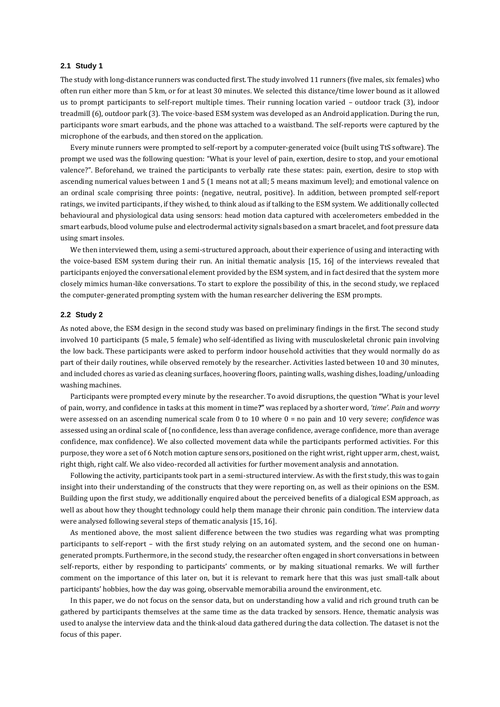#### **2.1 Study 1**

The study with long-distance runners was conducted first. The study involved 11 runners (five males, six females) who often run either more than 5 km, or for at least 30 minutes. We selected this distance/time lower bound as it allowed us to prompt participants to self-report multiple times. Their running location varied – outdoor track (3), indoor treadmill (6), outdoor park (3). The voice-based ESM system was developed as an Android application. During the run, participants wore smart earbuds, and the phone was attached to a waistband. The self-reports were captured by the microphone of the earbuds, and then stored on the application.

Every minute runners were prompted to self-report by a computer-generated voice (built using TtS software). The prompt we used was the following question: "What is your level of pain, exertion, desire to stop, and your emotional valence?". Beforehand, we trained the participants to verbally rate these states: pain, exertion, desire to stop with ascending numerical values between 1 and 5 (1 means not at all; 5 means maximum level); and emotional valence on an ordinal scale comprising three points: {negative, neutral, positive}. In addition, between prompted self-report ratings, we invited participants, if they wished, to think aloud as if talking to the ESM system. We additionally collected behavioural and physiological data using sensors: head motion data captured with accelerometers embedded in the smart earbuds, blood volume pulse and electrodermal activity signals based on a smart bracelet, and foot pressure data using smart insoles.

We then interviewed them, using a semi-structured approach, about their experience of using and interacting with the voice-based ESM system during their run. An initial thematic analysis [\[15,](#page-13-9) [16\]](#page-13-10) of the interviews revealed that participants enjoyed the conversational element provided by the ESM system, and in fact desired that the system more closely mimics human-like conversations. To start to explore the possibility of this, in the second study, we replaced the computer-generated prompting system with the human researcher delivering the ESM prompts.

#### **2.2 Study 2**

As noted above, the ESM design in the second study was based on preliminary findings in the first. The second study involved 10 participants (5 male, 5 female) who self-identified as living with musculoskeletal chronic pain involving the low back. These participants were asked to perform indoor household activities that they would normally do as part of their daily routines, while observed remotely by the researcher. Activities lasted between 10 and 30 minutes, and included chores as varied as cleaning surfaces, hoovering floors, painting walls, washing dishes, loading/unloading washing machines.

Participants were prompted every minute by the researcher. To avoid disruptions, the question **"**What is your level of pain, worry, and confidence in tasks at this moment in time**?"** was replaced by a shorter word, *'time'*. *Pain* and *worry* were assessed on an ascending numerical scale from 0 to 10 where 0 = no pain and 10 very severe; *confidence* was assessed using an ordinal scale of {no confidence, less than average confidence, average confidence, more than average confidence, max confidence}. We also collected movement data while the participants performed activities. For this purpose, they wore a set of 6 Notch motion capture sensors, positioned on the right wrist, right upper arm, chest, waist, right thigh, right calf. We also video-recorded all activities for further movement analysis and annotation.

Following the activity, participants took part in a semi-structured interview. As with the first study, this was to gain insight into their understanding of the constructs that they were reporting on, as well as their opinions on the ESM. Building upon the first study, we additionally enquired about the perceived benefits of a dialogical ESM approach, as well as about how they thought technology could help them manage their chronic pain condition. The interview data were analysed following several steps of thematic analysis [\[15,](#page-13-9) [16\]](#page-13-10).

As mentioned above, the most salient difference between the two studies was regarding what was prompting participants to self-report – with the first study relying on an automated system, and the second one on humangenerated prompts. Furthermore, in the second study, the researcher often engaged in short conversations in between self-reports, either by responding to participants' comments, or by making situational remarks. We will further comment on the importance of this later on, but it is relevant to remark here that this was just small-talk about participants' hobbies, how the day was going, observable memorabilia around the environment, etc.

In this paper, we do not focus on the sensor data, but on understanding how a valid and rich ground truth can be gathered by participants themselves at the same time as the data tracked by sensors. Hence, thematic analysis was used to analyse the interview data and the think-aloud data gathered during the data collection. The dataset is not the focus of this paper.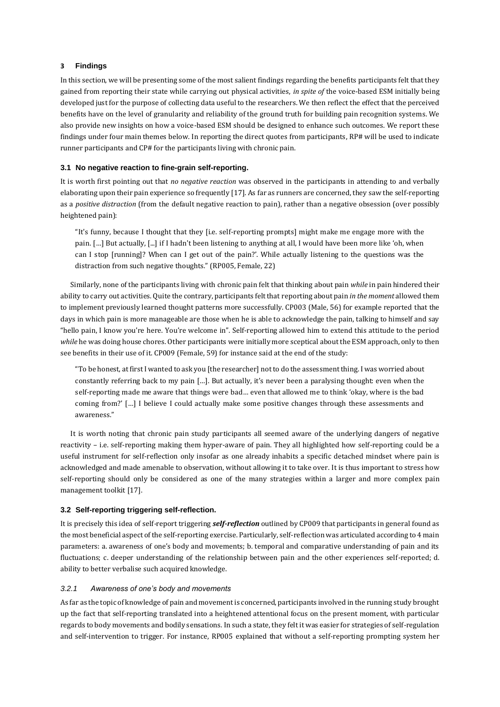## **3 Findings**

In this section, we will be presenting some of the most salient findings regarding the benefits participants felt that they gained from reporting their state while carrying out physical activities, *in spite of* the voice-based ESM initially being developed just for the purpose of collecting data useful to the researchers. We then reflect the effect that the perceived benefits have on the level of granularity and reliability of the ground truth for building pain recognition systems. We also provide new insights on how a voice-based ESM should be designed to enhance such outcomes. We report these findings under four main themes below. In reporting the direct quotes from participants, RP# will be used to indicate runner participants and CP# for the participants living with chronic pain.

### **3.1 No negative reaction to fine-grain self-reporting.**

It is worth first pointing out that *no negative reaction* was observed in the participants in attending to and verbally elaborating upon their pain experience so frequently [\[17\]](#page-13-11). As far as runners are concerned, they saw the self-reporting as a *positive distraction* (from the default negative reaction to pain), rather than a negative obsession (over possibly heightened pain):

"It's funny, because I thought that they [i.e. self-reporting prompts] might make me engage more with the pain. […] But actually, [...] if I hadn't been listening to anything at all, I would have been more like 'oh, when can I stop [running]? When can I get out of the pain?'. While actually listening to the questions was the distraction from such negative thoughts." (RP005, Female, 22)

Similarly, none of the participants living with chronic pain felt that thinking about pain *while* in pain hindered their ability to carry out activities. Quite the contrary, participants felt that reporting about pain *in the moment* allowed them to implement previously learned thought patterns more successfully. CP003 (Male, 56) for example reported that the days in which pain is more manageable are those when he is able to acknowledge the pain, talking to himself and say "hello pain, I know you're here. You're welcome in". Self-reporting allowed him to extend this attitude to the period *while* he was doing house chores. Other participants were initially more sceptical about the ESM approach, only to then see benefits in their use of it. CP009 (Female, 59) for instance said at the end of the study:

"To be honest, at first I wanted to ask you [the researcher] not to do the assessment thing. I was worried about constantly referring back to my pain […]. But actually, it's never been a paralysing thought: even when the self-reporting made me aware that things were bad… even that allowed me to think 'okay, where is the bad coming from?' […] I believe I could actually make some positive changes through these assessments and awareness."

It is worth noting that chronic pain study participants all seemed aware of the underlying dangers of negative reactivity – i.e. self-reporting making them hyper-aware of pain. They all highlighted how self-reporting could be a useful instrument for self-reflection only insofar as one already inhabits a specific detached mindset where pain is acknowledged and made amenable to observation, without allowing it to take over. It is thus important to stress how self-reporting should only be considered as one of the many strategies within a larger and more complex pain management toolkit [\[17\]](#page-13-11).

# **3.2 Self-reporting triggering self-reflection.**

It is precisely this idea of self-report triggering *self-reflection* outlined by CP009 that participants in general found as the most beneficial aspect of the self-reporting exercise. Particularly, self-reflection was articulated according to 4 main parameters: a. awareness of one's body and movements; b. temporal and comparative understanding of pain and its fluctuations; c. deeper understanding of the relationship between pain and the other experiences self-reported; d. ability to better verbalise such acquired knowledge.

#### *3.2.1 Awareness of one's body and movements*

As far as the topic of knowledge of pain and movement is concerned, participants involved in the running study brought up the fact that self-reporting translated into a heightened attentional focus on the present moment, with particular regards to body movements and bodily sensations. In such a state, they felt it was easier for strategies of self-regulation and self-intervention to trigger. For instance, RP005 explained that without a self-reporting prompting system her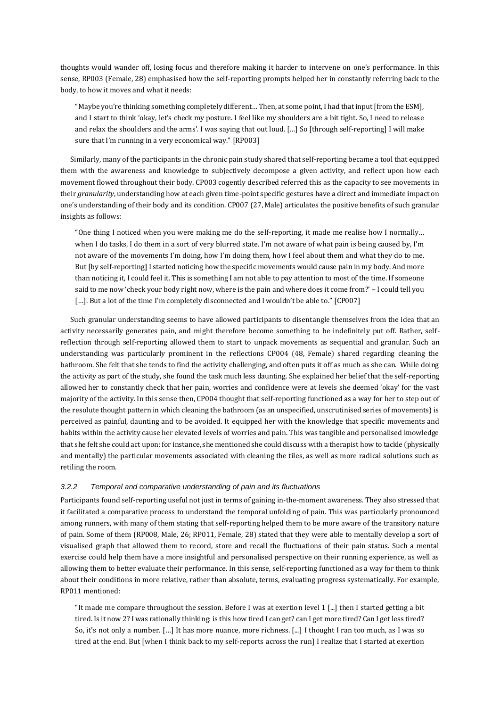thoughts would wander off, losing focus and therefore making it harder to intervene on one's performance. In this sense, RP003 (Female, 28) emphasised how the self-reporting prompts helped her in constantly referring back to the body, to how it moves and what it needs:

"Maybe you're thinking something completely different… Then, at some point, I had that input [from the ESM], and I start to think 'okay, let's check my posture. I feel like my shoulders are a bit tight. So, I need to release and relax the shoulders and the arms'. I was saying that out loud. […] So [through self-reporting] I will make sure that I'm running in a very economical way." [RP003]

Similarly, many of the participants in the chronic pain study shared that self-reporting became a tool that equipped them with the awareness and knowledge to subjectively decompose a given activity, and reflect upon how each movement flowed throughout their body. CP003 cogently described referred this as the capacity to see movements in their *granularity*, understanding how at each given time-point specific gestures have a direct and immediate impact on one's understanding of their body and its condition. CP007 (27, Male) articulates the positive benefits of such granular insights as follows:

"One thing I noticed when you were making me do the self-reporting, it made me realise how I normally… when I do tasks, I do them in a sort of very blurred state. I'm not aware of what pain is being caused by, I'm not aware of the movements I'm doing, how I'm doing them, how I feel about them and what they do to me. But [by self-reporting] I started noticing how the specific movements would cause pain in my body. And more than noticing it, I could feel it. This is something I am not able to pay attention to most of the time. If someone said to me now 'check your body right now, where is the pain and where does it come from?' – I could tell you [...]. But a lot of the time I'm completely disconnected and I wouldn't be able to." [CP007]

Such granular understanding seems to have allowed participants to disentangle themselves from the idea that an activity necessarily generates pain, and might therefore become something to be indefinitely put off. Rather, selfreflection through self-reporting allowed them to start to unpack movements as sequential and granular. Such an understanding was particularly prominent in the reflections CP004 (48, Female) shared regarding cleaning the bathroom. She felt that she tends to find the activity challenging, and often puts it off as much as she can. While doing the activity as part of the study, she found the task much less daunting. She explained her belief that the self-reporting allowed her to constantly check that her pain, worries and confidence were at levels she deemed 'okay' for the vast majority of the activity. In this sense then, CP004 thought that self-reporting functioned as a way for her to step out of the resolute thought pattern in which cleaning the bathroom (as an unspecified, unscrutinised series of movements) is perceived as painful, daunting and to be avoided. It equipped her with the knowledge that specific movements and habits within the activity cause her elevated levels of worries and pain. This was tangible and personalised knowledge that she felt she could act upon: for instance, she mentioned she could discuss with a therapist how to tackle (physically and mentally) the particular movements associated with cleaning the tiles, as well as more radical solutions such as retiling the room.

## *3.2.2 Temporal and comparative understanding of pain and its fluctuations*

Participants found self-reporting useful not just in terms of gaining in-the-moment awareness. They also stressed that it facilitated a comparative process to understand the temporal unfolding of pain. This was particularly pronounced among runners, with many of them stating that self-reporting helped them to be more aware of the transitory nature of pain. Some of them (RP008, Male, 26; RP011, Female, 28) stated that they were able to mentally develop a sort of visualised graph that allowed them to record, store and recall the fluctuations of their pain status. Such a mental exercise could help them have a more insightful and personalised perspective on their running experience, as well as allowing them to better evaluate their performance. In this sense, self-reporting functioned as a way for them to think about their conditions in more relative, rather than absolute, terms, evaluating progress systematically. For example, RP011 mentioned:

"It made me compare throughout the session. Before I was at exertion level 1 [...] then I started getting a bit tired. Is it now 2? I was rationally thinking: is this how tired I can get? can I get more tired? Can I get less tired? So, it's not only a number. […] It has more nuance, more richness. [...] I thought I ran too much, as I was so tired at the end. But [when I think back to my self-reports across the run] I realize that I started at exertion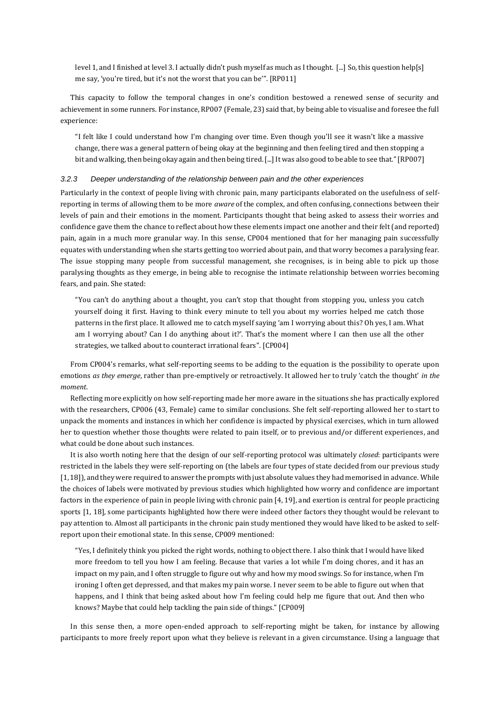level 1, and I finished at level 3. I actually didn't push myself as much as I thought. [...] So, this question help[s] me say, 'you're tired, but it's not the worst that you can be'". [RP011]

This capacity to follow the temporal changes in one's condition bestowed a renewed sense of security and achievement in some runners. For instance, RP007 (Female, 23) said that, by being able to visualise and foresee the full experience:

"I felt like I could understand how I'm changing over time. Even though you'll see it wasn't like a massive change, there was a general pattern of being okay at the beginning and then feeling tired and then stopping a bit and walking, then being okay again and then being tired. [...] It was also good to be able to see that." [RP007]

## *3.2.3 Deeper understanding of the relationship between pain and the other experiences*

Particularly in the context of people living with chronic pain, many participants elaborated on the usefulness of selfreporting in terms of allowing them to be more *aware* of the complex, and often confusing, connections between their levels of pain and their emotions in the moment. Participants thought that being asked to assess their worries and confidence gave them the chance to reflect about how these elements impact one another and their felt (and reported) pain, again in a much more granular way. In this sense, CP004 mentioned that for her managing pain successfully equates with understanding when she starts getting too worried about pain, and that worry becomes a paralysing fear. The issue stopping many people from successful management, she recognises, is in being able to pick up those paralysing thoughts as they emerge, in being able to recognise the intimate relationship between worries becoming fears, and pain. She stated:

"You can't do anything about a thought, you can't stop that thought from stopping you, unless you catch yourself doing it first. Having to think every minute to tell you about my worries helped me catch those patterns in the first place. It allowed me to catch myself saying 'am I worrying about this? Oh yes, I am. What am I worrying about? Can I do anything about it?'. That's the moment where I can then use all the other strategies, we talked about to counteract irrational fears". [CP004]

From CP004's remarks, what self-reporting seems to be adding to the equation is the possibility to operate upon emotions *as they emerge*, rather than pre-emptively or retroactively. It allowed her to truly 'catch the thought' *in the moment*.

Reflecting more explicitly on how self-reporting made her more aware in the situations she has practically explored with the researchers, CP006 (43, Female) came to similar conclusions. She felt self-reporting allowed her to start to unpack the moments and instances in which her confidence is impacted by physical exercises, which in turn allowed her to question whether those thoughts were related to pain itself, or to previous and/or different experiences, and what could be done about such instances.

It is also worth noting here that the design of our self-reporting protocol was ultimately *closed*: participants were restricted in the labels they were self-reporting on (the labels are four types of state decided from our previous study [\[1,](#page-13-0) [18\]](#page-13-12)), and they were required to answer the prompts with just absolute values they had memorised in advance. While the choices of labels were motivated by previous studies which highlighted how worry and confidence are important factors in the experience of pain in people living with chronic pain [\[4,](#page-13-4) [19\]](#page-13-13), and exertion is central for people practicing sports [\[1,](#page-13-0) [18\]](#page-13-12), some participants highlighted how there were indeed other factors they thought would be relevant to pay attention to. Almost all participants in the chronic pain study mentioned they would have liked to be asked to selfreport upon their emotional state. In this sense, CP009 mentioned:

"Yes, I definitely think you picked the right words, nothing to object there. I also think that I would have liked more freedom to tell you how I am feeling. Because that varies a lot while I'm doing chores, and it has an impact on my pain, and I often struggle to figure out why and how my mood swings. So for instance, when I'm ironing I often get depressed, and that makes my pain worse. I never seem to be able to figure out when that happens, and I think that being asked about how I'm feeling could help me figure that out. And then who knows? Maybe that could help tackling the pain side of things." [CP009]

In this sense then, a more open-ended approach to self-reporting might be taken, for instance by allowing participants to more freely report upon what they believe is relevant in a given circumstance. Using a language that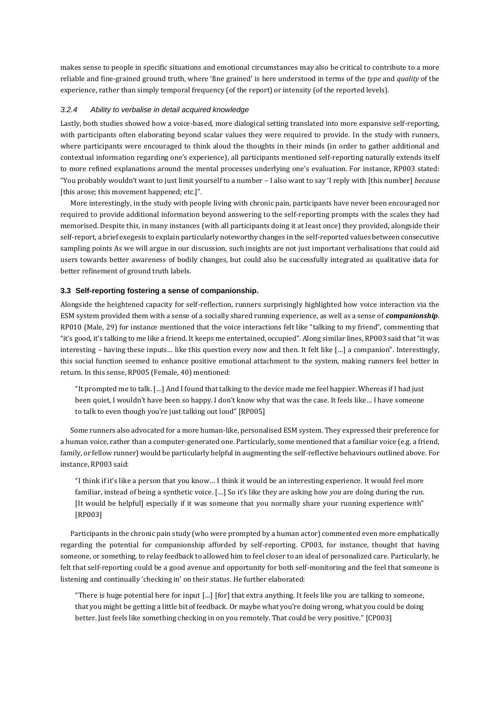makes sense to people in specific situations and emotional circumstances may also be critical to contribute to a more reliable and fine-grained ground truth, where 'fine grained' is here understood in terms of the *type* and *quality* of the experience, rather than simply temporal frequency (of the report) or intensity (of the reported levels).

### *3.2.4 Ability to verbalise in detail acquired knowledge*

Lastly, both studies showed how a voice-based, more dialogical setting translated into more expansive self-reporting, with participants often elaborating beyond scalar values they were required to provide. In the study with runners, where participants were encouraged to think aloud the thoughts in their minds (in order to gather additional and contextual information regarding one's experience), all participants mentioned self-reporting naturally extends itself to more refined explanations around the mental processes underlying one's evaluation. For instance, RP003 stated: "You probably wouldn't want to just limit yourself to a number – I also want to say 'I reply with [this number] *because* [this arose; this movement happened; etc.]".

More interestingly, in the study with people living with chronic pain, participants have never been encouraged nor required to provide additional information beyond answering to the self-reporting prompts with the scales they had memorised. Despite this, in many instances (with all participants doing it at least once) they provided, alongside their self-report, a brief exegesis to explain particularly noteworthy changes in the self-reported values between consecutive sampling points As we will argue in our discussion, such insights are not just important verbalisations that could aid users towards better awareness of bodily changes, but could also be successfully integrated as qualitative data for better refinement of ground truth labels.

#### **3.3 Self-reporting fostering a sense of companionship.**

Alongside the heightened capacity for self-reflection, runners surprisingly highlighted how voice interaction via the ESM system provided them with a sense of a socially shared running experience, as well as a sense of *companionship*. RP010 (Male, 29) for instance mentioned that the voice interactions felt like "talking to my friend", commenting that "it's good, it's talking to me like a friend. It keeps me entertained, occupied". Along similar lines, RP003 said that "it was interesting – having these inputs… like this question every now and then. It felt like […] a companion". Interestingly, this social function seemed to enhance positive emotional attachment to the system, making runners feel better in return. In this sense, RP005 (Female, 40) mentioned:

"It prompted me to talk. […] And I found that talking to the device made me feel happier. Whereas if I had just been quiet, I wouldn't have been so happy. I don't know why that was the case. It feels like… I have someone to talk to even though you're just talking out loud" [RP005]

Some runners also advocated for a more human-like, personalised ESM system. They expressed their preference for a human voice, rather than a computer-generated one. Particularly, some mentioned that a familiar voice (e.g. a friend, family, or fellow runner) would be particularly helpful in augmenting the self-reflective behaviours outlined above. For instance, RP003 said:

"I think if it's like a person that you know… I think it would be an interesting experience. It would feel more familiar, instead of being a synthetic voice. […] So it's like they are asking how *you* are doing during the run. [It would be helpful] especially if it was someone that you normally share your running experience with" [RP003]

Participants in the chronic pain study (who were prompted by a human actor) commented even more emphatically regarding the potential for companionship afforded by self-reporting. CP003, for instance, thought that having someone, or something, to relay feedback to allowed him to feel closer to an ideal of personalized care. Particularly, he felt that self-reporting could be a good avenue and opportunity for both self-monitoring and the feel that someone is listening and continually 'checking in' on their status. He further elaborated:

"There is huge potential here for input […] [for] that extra anything. It feels like you are talking to someone, that you might be getting a little bit of feedback. Or maybe what you're doing wrong, what you could be doing better. Just feels like something checking in on you remotely. That could be very positive." [CP003]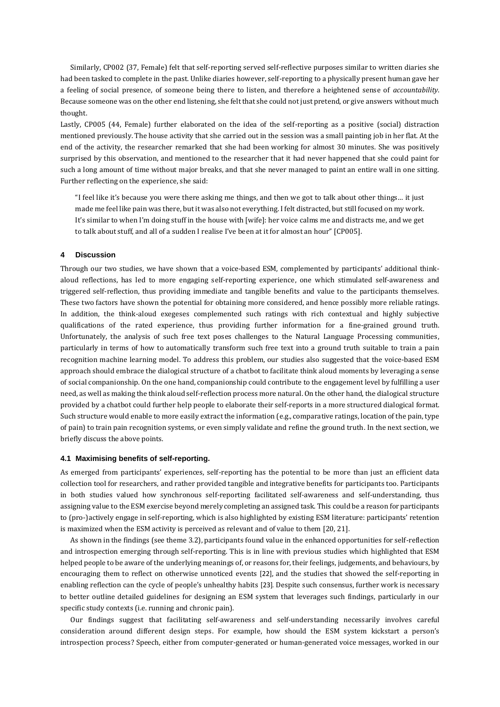Similarly, CP002 (37, Female) felt that self-reporting served self-reflective purposes similar to written diaries she had been tasked to complete in the past. Unlike diaries however, self-reporting to a physically present human gave her a feeling of social presence, of someone being there to listen, and therefore a heightened sense of *accountability*. Because someone was on the other end listening, she felt that she could not just pretend, or give answers without much thought.

Lastly, CP005 (44, Female) further elaborated on the idea of the self-reporting as a positive (social) distraction mentioned previously. The house activity that she carried out in the session was a small painting job in her flat. At the end of the activity, the researcher remarked that she had been working for almost 30 minutes. She was positively surprised by this observation, and mentioned to the researcher that it had never happened that she could paint for such a long amount of time without major breaks, and that she never managed to paint an entire wall in one sitting. Further reflecting on the experience, she said:

"I feel like it's because you were there asking me things, and then we got to talk about other things… it just made me feel like pain was there, but it was also not everything. I felt distracted, but still focused on my work. It's similar to when I'm doing stuff in the house with [wife]: her voice calms me and distracts me, and we get to talk about stuff, and all of a sudden I realise I've been at it for almost an hour" [CP005].

#### **4 Discussion**

Through our two studies, we have shown that a voice-based ESM, complemented by participants' additional thinkaloud reflections, has led to more engaging self-reporting experience, one which stimulated self-awareness and triggered self-reflection, thus providing immediate and tangible benefits and value to the participants themselves. These two factors have shown the potential for obtaining more considered, and hence possibly more reliable ratings. In addition, the think-aloud exegeses complemented such ratings with rich contextual and highly subjective qualifications of the rated experience, thus providing further information for a fine-grained ground truth. Unfortunately, the analysis of such free text poses challenges to the Natural Language Processing communities, particularly in terms of how to automatically transform such free text into a ground truth suitable to train a pain recognition machine learning model. To address this problem, our studies also suggested that the voice-based ESM approach should embrace the dialogical structure of a chatbot to facilitate think aloud moments by leveraging a sense of social companionship. On the one hand, companionship could contribute to the engagement level by fulfilling a user need, as well as making the think aloud self-reflection process more natural. On the other hand, the dialogical structure provided by a chatbot could further help people to elaborate their self-reports in a more structured dialogical format. Such structure would enable to more easily extract the information (e.g., comparative ratings, location of the pain, type of pain) to train pain recognition systems, or even simply validate and refine the ground truth. In the next section, we briefly discuss the above points.

#### **4.1 Maximising benefits of self-reporting.**

As emerged from participants' experiences, self-reporting has the potential to be more than just an efficient data collection tool for researchers, and rather provided tangible and integrative benefits for participants too. Participants in both studies valued how synchronous self-reporting facilitated self-awareness and self-understanding, thus assigning value to the ESM exercise beyond merely completing an assigned task. This could be a reason for participants to (pro-)actively engage in self-reporting, which is also highlighted by existing ESM literature: participants' retention is maximized when the ESM activity is perceived as relevant and of value to them [\[20,](#page-13-14) [21\]](#page-13-15).

As shown in the findings (see theme 3.2), participants found value in the enhanced opportunities for self-reflection and introspection emerging through self-reporting. This is in line with previous studies which highlighted that ESM helped people to be aware of the underlying meanings of, or reasons for, their feelings, judgements, and behaviours, by encouraging them to reflect on otherwise unnoticed events [\[22\]](#page-13-16), and the studies that showed the self-reporting in enabling reflection can the cycle of people's unhealthy habits [\[23\]](#page-13-17). Despite such consensus, further work is necessary to better outline detailed guidelines for designing an ESM system that leverages such findings, particularly in our specific study contexts (i.e. running and chronic pain).

Our findings suggest that facilitating self-awareness and self-understanding necessarily involves careful consideration around different design steps. For example, how should the ESM system kickstart a person's introspection process? Speech, either from computer-generated or human-generated voice messages, worked in our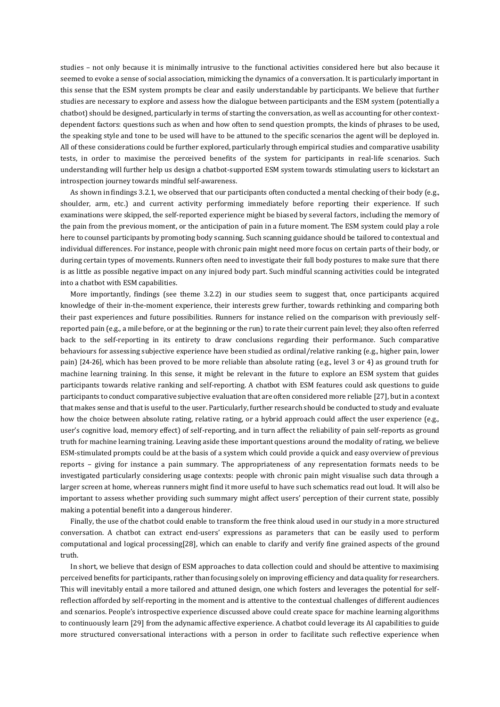studies – not only because it is minimally intrusive to the functional activities considered here but also because it seemed to evoke a sense of social association, mimicking the dynamics of a conversation. It is particularly important in this sense that the ESM system prompts be clear and easily understandable by participants. We believe that further studies are necessary to explore and assess how the dialogue between participants and the ESM system (potentially a chatbot) should be designed, particularly in terms of starting the conversation, as well as accounting for other contextdependent factors: questions such as when and how often to send question prompts, the kinds of phrases to be used, the speaking style and tone to be used will have to be attuned to the specific scenarios the agent will be deployed in. All of these considerations could be further explored, particularly through empirical studies and comparative usability tests, in order to maximise the perceived benefits of the system for participants in real-life scenarios. Such understanding will further help us design a chatbot-supported ESM system towards stimulating users to kickstart an introspection journey towards mindful self-awareness.

As shown in findings 3.2.1, we observed that our participants often conducted a mental checking of their body (e.g., shoulder, arm, etc.) and current activity performing immediately before reporting their experience. If such examinations were skipped, the self-reported experience might be biased by several factors, including the memory of the pain from the previous moment, or the anticipation of pain in a future moment. The ESM system could play a role here to counsel participants by promoting body scanning. Such scanning guidance should be tailored to contextual and individual differences. For instance, people with chronic pain might need more focus on certain parts of their body, or during certain types of movements. Runners often need to investigate their full body postures to make sure that there is as little as possible negative impact on any injured body part. Such mindful scanning activities could be integrated into a chatbot with ESM capabilities.

More importantly, findings (see theme 3.2.2) in our studies seem to suggest that, once participants acquired knowledge of their in-the-moment experience, their interests grew further, towards rethinking and comparing both their past experiences and future possibilities. Runners for instance relied on the comparison with previously selfreported pain (e.g., a mile before, or at the beginning or the run) to rate their current pain level; they also often referred back to the self-reporting in its entirety to draw conclusions regarding their performance. Such comparative behaviours for assessing subjective experience have been studied as ordinal/relative ranking (e.g., higher pain, lower pain) [\[24-26\]](#page-13-18), which has been proved to be more reliable than absolute rating (e.g., level 3 or 4) as ground truth for machine learning training. In this sense, it might be relevant in the future to explore an ESM system that guides participants towards relative ranking and self-reporting. A chatbot with ESM features could ask questions to guide participants to conduct comparative subjective evaluation that are often considered more reliable [\[27\]](#page-13-19), but in a context that makes sense and that is useful to the user. Particularly, further research should be conducted to study and evaluate how the choice between absolute rating, relative rating, or a hybrid approach could affect the user experience (e.g., user's cognitive load, memory effect) of self-reporting, and in turn affect the reliability of pain self-reports as ground truth for machine learning training. Leaving aside these important questions around the modality of rating, we believe ESM-stimulated prompts could be at the basis of a system which could provide a quick and easy overview of previous reports – giving for instance a pain summary. The appropriateness of any representation formats needs to be investigated particularly considering usage contexts: people with chronic pain might visualise such data through a larger screen at home, whereas runners might find it more useful to have such schematics read out loud. It will also be important to assess whether providing such summary might affect users' perception of their current state, possibly making a potential benefit into a dangerous hinderer.

Finally, the use of the chatbot could enable to transform the free think aloud used in our study in a more structured conversation. A chatbot can extract end-users' expressions as parameters that can be easily used to perform computational and logical processing[\[28\]](#page-13-20), which can enable to clarify and verify fine grained aspects of the ground truth.

In short, we believe that design of ESM approaches to data collection could and should be attentive to maximising perceived benefits for participants, rather than focusing solely on improving efficiency and data quality for researchers. This will inevitably entail a more tailored and attuned design, one which fosters and leverages the potential for selfreflection afforded by self-reporting in the moment and is attentive to the contextual challenges of different audiences and scenarios. People's introspective experience discussed above could create space for machine learning algorithms to continuously learn [\[29\]](#page-14-0) from the adynamic affective experience. A chatbot could leverage its AI capabilities to guide more structured conversational interactions with a person in order to facilitate such reflective experience when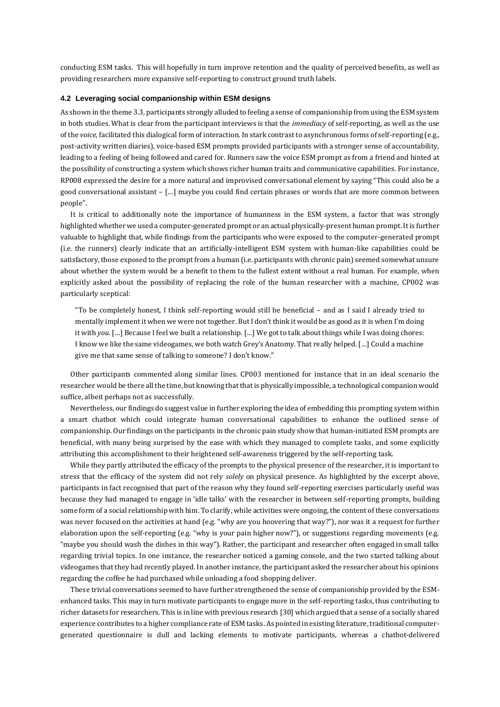conducting ESM tasks. This will hopefully in turn improve retention and the quality of perceived benefits, as well as providing researchers more expansive self-reporting to construct ground truth labels.

#### **4.2 Leveraging social companionship within ESM designs**

As shown in the theme 3.3, participants strongly alluded to feeling a sense of companionship from using the ESM system in both studies. What is clear from the participant interviews is that the *immediacy* of self-reporting, as well as the use of the *voice,* facilitated this dialogical form of interaction. In stark contrast to asynchronous forms of self-reporting (e.g., post-activity written diaries), voice-based ESM prompts provided participants with a stronger sense of accountability, leading to a feeling of being followed and cared for. Runners saw the voice ESM prompt as from a friend and hinted at the possibility of constructing a system which shows richer human traits and communicative capabilities. For instance, RP008 expressed the desire for a more natural and improvised conversational element by saying "This could also be a good conversational assistant – […] maybe you could find certain phrases or words that are more common between people".

It is critical to additionally note the importance of humanness in the ESM system, a factor that was strongly highlighted whether we used a computer-generated prompt or an actual physically-present human prompt. It is further valuable to highlight that, while findings from the participants who were exposed to the computer-generated prompt (i.e. the runners) clearly indicate that an artificially-intelligent ESM system with human-like capabilities could be satisfactory, those exposed to the prompt from a human (i.e. participants with chronic pain) seemed somewhat unsure about whether the system would be a benefit to them to the fullest extent without a real human. For example, when explicitly asked about the possibility of replacing the role of the human researcher with a machine, CP002 was particularly sceptical:

"To be completely honest, I think self-reporting would still be beneficial – and as I said I already tried to mentally implement it when we were not together. But I don't think it would be as good as it is when I'm doing it with *you*. […] Because I feel we built a relationship. […] We got to talk about things while I was doing chores: I know we like the same videogames, we both watch Grey's Anatomy. That really helped. […] Could a machine give me that same sense of talking to someone? I don't know."

Other participants commented along similar lines. CP003 mentioned for instance that in an ideal scenario the researcher would be there all the time, but knowing that that is physically impossible, a technological companion would suffice, albeit perhaps not as successfully.

Nevertheless, our findings do suggest value in further exploring the idea of embedding this prompting system within a smart chatbot which could integrate human conversational capabilities to enhance the outlined sense of companionship. Our findings on the participants in the chronic pain study show that human-initiated ESM prompts are beneficial, with many being surprised by the ease with which they managed to complete tasks, and some explicitly attributing this accomplishment to their heightened self-awareness triggered by the self-reporting task.

While they partly attributed the efficacy of the prompts to the physical presence of the researcher, it is important to stress that the efficacy of the system did not rely *solely* on physical presence. As highlighted by the excerpt above, participants in fact recognised that part of the reason why they found self-reporting exercises particularly useful was because they had managed to engage in 'idle talks' with the researcher in between self-reporting prompts, building some form of a social relationship with him. To clarify, while activities were ongoing, the content of these conversations was never focused on the activities at hand (e.g. "why are you hoovering that way?"), nor was it a request for further elaboration upon the self-reporting (e.g. "why is your pain higher now?"), or suggestions regarding movements (e.g. "maybe you should wash the dishes in this way"). Rather, the participant and researcher often engaged in small talks regarding trivial topics. In one instance, the researcher noticed a gaming console, and the two started talking about videogames that they had recently played. In another instance, the participant asked the researcher about his opinions regarding the coffee he had purchased while unloading a food shopping deliver.

These trivial conversations seemed to have further strengthened the sense of companionship provided by the ESMenhanced tasks. This may in turn motivate participants to engage more in the self-reporting tasks, thus contributing to richer datasets for researchers. This is in line with previous research [\[30\]](#page-14-1) which argued that a sense of a socially shared experience contributes to a higher compliance rate of ESM tasks. As pointed in existing literature, traditional computergenerated questionnaire is dull and lacking elements to motivate participants, whereas a chatbot-delivered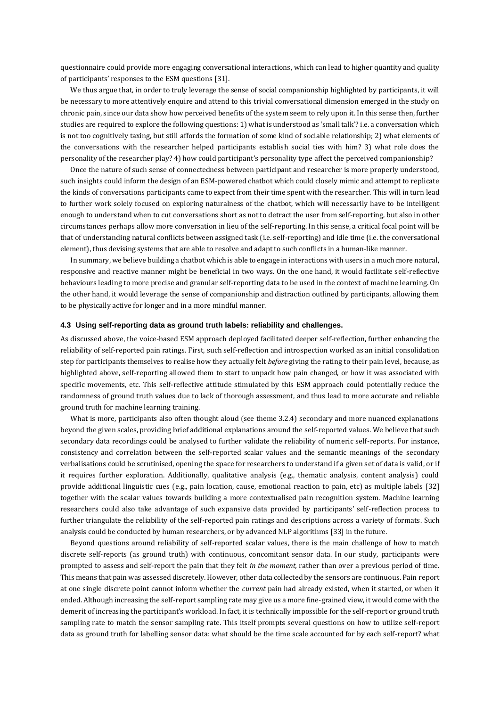questionnaire could provide more engaging conversational interactions, which can lead to higher quantity and quality of participants' responses to the ESM questions [\[31\]](#page-14-2).

We thus argue that, in order to truly leverage the sense of social companionship highlighted by participants, it will be necessary to more attentively enquire and attend to this trivial conversational dimension emerged in the study on chronic pain, since our data show how perceived benefits of the system seem to rely upon it. In this sense then, further studies are required to explore the following questions: 1) what is understood as 'small talk'? i.e. a conversation which is not too cognitively taxing, but still affords the formation of some kind of sociable relationship; 2) what elements of the conversations with the researcher helped participants establish social ties with him? 3) what role does the personality of the researcher play? 4) how could participant's personality type affect the perceived companionship?

Once the nature of such sense of connectedness between participant and researcher is more properly understood, such insights could inform the design of an ESM-powered chatbot which could closely mimic and attempt to replicate the kinds of conversations participants came to expect from their time spent with the researcher. This will in turn lead to further work solely focused on exploring naturalness of the chatbot, which will necessarily have to be intelligent enough to understand when to cut conversations short as not to detract the user from self-reporting, but also in other circumstances perhaps allow more conversation in lieu of the self-reporting. In this sense, a critical focal point will be that of understanding natural conflicts between assigned task (i.e. self-reporting) and idle time (i.e. the conversational element), thus devising systems that are able to resolve and adapt to such conflicts in a human-like manner.

In summary, we believe building a chatbot which is able to engage in interactions with users in a much more natural, responsive and reactive manner might be beneficial in two ways. On the one hand, it would facilitate self-reflective behaviours leading to more precise and granular self-reporting data to be used in the context of machine learning. On the other hand, it would leverage the sense of companionship and distraction outlined by participants, allowing them to be physically active for longer and in a more mindful manner.

#### **4.3 Using self-reporting data as ground truth labels: reliability and challenges.**

As discussed above, the voice-based ESM approach deployed facilitated deeper self-reflection, further enhancing the reliability of self-reported pain ratings. First, such self-reflection and introspection worked as an initial consolidation step for participants themselves to realise how they actually felt *before* giving the rating to their pain level, because, as highlighted above, self-reporting allowed them to start to unpack how pain changed, or how it was associated with specific movements, etc. This self-reflective attitude stimulated by this ESM approach could potentially reduce the randomness of ground truth values due to lack of thorough assessment, and thus lead to more accurate and reliable ground truth for machine learning training.

What is more, participants also often thought aloud (see theme 3.2.4) secondary and more nuanced explanations beyond the given scales, providing brief additional explanations around the self-reported values. We believe that such secondary data recordings could be analysed to further validate the reliability of numeric self-reports. For instance, consistency and correlation between the self-reported scalar values and the semantic meanings of the secondary verbalisations could be scrutinised, opening the space for researchers to understand if a given set of data is valid, or if it requires further exploration. Additionally, qualitative analysis (e.g., thematic analysis, content analysis) could provide additional linguistic cues (e.g., pain location, cause, emotional reaction to pain, etc) as multiple labels [\[32\]](#page-14-3) together with the scalar values towards building a more contextualised pain recognition system. Machine learning researchers could also take advantage of such expansive data provided by participants' self-reflection process to further triangulate the reliability of the self-reported pain ratings and descriptions across a variety of formats. Such analysis could be conducted by human researchers, or by advanced NLP algorithms [\[33\]](#page-14-4) in the future.

Beyond questions around reliability of self-reported scalar values, there is the main challenge of how to match discrete self-reports (as ground truth) with continuous, concomitant sensor data. In our study, participants were prompted to assess and self-report the pain that they felt *in the moment,* rather than over a previous period of time. This means that pain was assessed discretely. However, other data collected by the sensors are continuous. Pain report at one single discrete point cannot inform whether the *current* pain had already existed, when it started, or when it ended. Although increasing the self-report sampling rate may give us a more fine-grained view, it would come with the demerit of increasing the participant's workload. In fact, it is technically impossible for the self-report or ground truth sampling rate to match the sensor sampling rate. This itself prompts several questions on how to utilize self-report data as ground truth for labelling sensor data: what should be the time scale accounted for by each self-report? what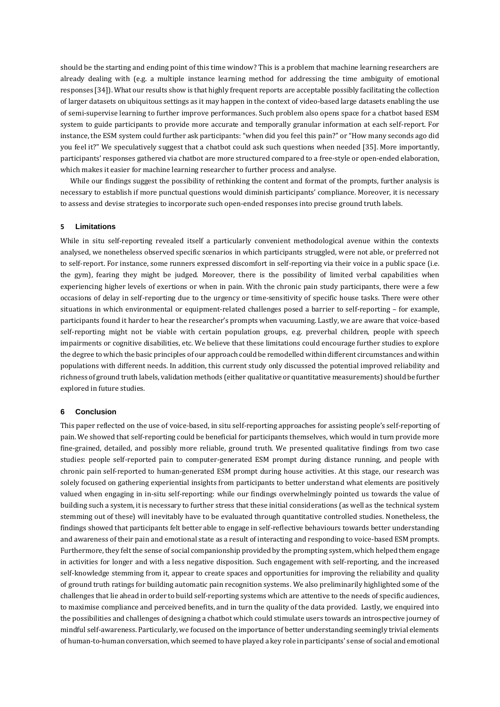should be the starting and ending point of this time window? This is a problem that machine learning researchers are already dealing with (e.g. a multiple instance learning method for addressing the time ambiguity of emotional responses [\[34\]](#page-14-5)). What our results show is that highly frequent reports are acceptable possibly facilitating the collection of larger datasets on ubiquitous settings as it may happen in the context of video-based large datasets enabling the use of semi-supervise learning to further improve performances. Such problem also opens space for a chatbot based ESM system to guide participants to provide more accurate and temporally granular information at each self-report. For instance, the ESM system could further ask participants: "when did you feel this pain?" or "How many seconds ago did you feel it?" We speculatively suggest that a chatbot could ask such questions when needed [\[35\]](#page-14-6). More importantly, participants' responses gathered via chatbot are more structured compared to a free-style or open-ended elaboration, which makes it easier for machine learning researcher to further process and analyse.

While our findings suggest the possibility of rethinking the content and format of the prompts, further analysis is necessary to establish if more punctual questions would diminish participants' compliance. Moreover, it is necessary to assess and devise strategies to incorporate such open-ended responses into precise ground truth labels.

#### **5 Limitations**

While in situ self-reporting revealed itself a particularly convenient methodological avenue within the contexts analysed, we nonetheless observed specific scenarios in which participants struggled, were not able, or preferred not to self-report. For instance, some runners expressed discomfort in self-reporting via their voice in a public space (i.e. the gym), fearing they might be judged. Moreover, there is the possibility of limited verbal capabilities when experiencing higher levels of exertions or when in pain. With the chronic pain study participants, there were a few occasions of delay in self-reporting due to the urgency or time-sensitivity of specific house tasks. There were other situations in which environmental or equipment-related challenges posed a barrier to self-reporting – for example, participants found it harder to hear the researcher's prompts when vacuuming. Lastly, we are aware that voice-based self-reporting might not be viable with certain population groups, e.g. preverbal children, people with speech impairments or cognitive disabilities, etc. We believe that these limitations could encourage further studies to explore the degree to which the basic principles of our approach could be remodelled within different circumstances and within populations with different needs. In addition, this current study only discussed the potential improved reliability and richness of ground truth labels, validation methods (either qualitative or quantitative measurements) should be further explored in future studies.

#### **6 Conclusion**

This paper reflected on the use of voice-based, in situ self-reporting approaches for assisting people's self-reporting of pain. We showed that self-reporting could be beneficial for participants themselves, which would in turn provide more fine-grained, detailed, and possibly more reliable, ground truth. We presented qualitative findings from two case studies: people self-reported pain to computer-generated ESM prompt during distance running, and people with chronic pain self-reported to human-generated ESM prompt during house activities. At this stage, our research was solely focused on gathering experiential insights from participants to better understand what elements are positively valued when engaging in in-situ self-reporting: while our findings overwhelmingly pointed us towards the value of building such a system, it is necessary to further stress that these initial considerations (as well as the technical system stemming out of these) will inevitably have to be evaluated through quantitative controlled studies. Nonetheless, the findings showed that participants felt better able to engage in self-reflective behaviours towards better understanding and awareness of their pain and emotional state as a result of interacting and responding to voice-based ESM prompts. Furthermore, they felt the sense of social companionship provided by the prompting system, which helped them engage in activities for longer and with a less negative disposition. Such engagement with self-reporting, and the increased self-knowledge stemming from it, appear to create spaces and opportunities for improving the reliability and quality of ground truth ratings for building automatic pain recognition systems. We also preliminarily highlighted some of the challenges that lie ahead in order to build self-reporting systems which are attentive to the needs of specific audiences, to maximise compliance and perceived benefits, and in turn the quality of the data provided. Lastly, we enquired into the possibilities and challenges of designing a chatbot which could stimulate users towards an introspective journey of mindful self-awareness. Particularly, we focused on the importance of better understanding seemingly trivial elements of human-to-human conversation, which seemed to have played a key role in participants' sense of social and emotional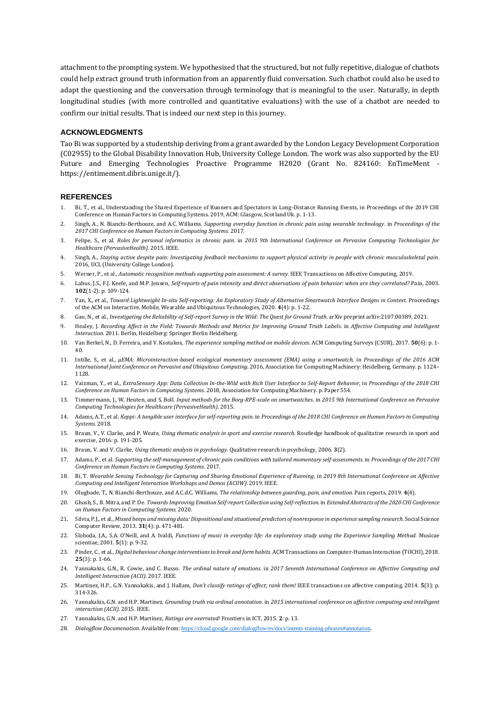attachment to the prompting system. We hypothesised that the structured, but not fully repetitive, dialogue of chatbots could help extract ground truth information from an apparently fluid conversation. Such chatbot could also be used to adapt the questioning and the conversation through terminology that is meaningful to the user. Naturally, in depth longitudinal studies (with more controlled and quantitative evaluations) with the use of a chatbot are needed to confirm our initial results. That is indeed our next step in this journey.

## **ACKNOWLEDGMENTS**

Tao Bi was supported by a studentship deriving from a grant awarded by the London Legacy Development Corporation (C02955) to the Global Disability Innovation Hub, University College London. The work was also supported by the EU Future and Emerging Technologies Proactive Programme H2020 (Grant No. 824160: EnTimeMent [https://entimement.dibris.unige.it/\)](https://entimement.dibris.unige.it/).

## **REFERENCES**

- <span id="page-13-0"></span>1. Bi, T., et al., Understanding the Shared Experience of Runners and Spectators in Long-Distance Running Events, in Proceedings of the 2019 CHI Conference on Human Factors in Computing Systems. 2019, ACM: Glasgow, Scotland Uk. p. 1-13.
- <span id="page-13-1"></span>2. Singh, A., N. Bianchi-Berthouze, and A.C. Williams. *Supporting everyday function in chronic pain using wearable technology*. in *Proceedings of the 2017 CHI Conference on Human Factors in Computing Systems*. 2017.
- 3. Felipe, S., et al. *Roles for personal informatics in chronic pain*. in *2015 9th International Conference on Pervasive Computing Technologies for Healthcare (PervasiveHealth)*. 2015. IEEE.
- <span id="page-13-4"></span>4. Singh, A., *Staying active despite pain: Investigating feedback mechanisms to support physical activity in people with chronic musculoskeletal pain*. 2016, UCL (University College London).
- 5. Werner, P., et al., *Automatic recognition methods supporting pain assessment: A survey.* IEEE Transactions on Affective Computing, 2019.
- <span id="page-13-2"></span>6. Labus, J.S., F.J. Keefe, and M.P. Jensen, *Self-reports of pain intensity and direct observations of pain behavior: when are they correlated?* Pain, 2003. **102**(1-2): p. 109-124.
- <span id="page-13-3"></span>7. Yan, X., et al., *Toward Lightweight In-situ Self-reporting: An Exploratory Study of Alternative Smartwatch Interface Designs in Context.* Proceedings of the ACM on Interactive, Mobile, Wearable and Ubiquitous Technologies, 2020. **4**(4): p. 1-22.
- <span id="page-13-5"></span>8. Gao, N., et al., *Investigating the Reliability of Self-report Survey in the Wild: The Quest for Ground Truth.* arXiv preprint arXiv:2107.00389, 2021.
- <span id="page-13-6"></span>9. Healey, J. *Recording Affect in the Field: Towards Methods and Metrics for Improving Ground Truth Labels*. in *Affective Computing and Intelligent Interaction*. 2011. Berlin, Heidelberg: Springer Berlin Heidelberg.
- <span id="page-13-7"></span>10. Van Berkel, N., D. Ferreira, and V. Kostakos, *The experience sampling method on mobile devices.* ACM Computing Surveys (CSUR), 2017. **50**(6): p. 1- 40.
- <span id="page-13-8"></span>11. Intille, S., et al., *μEMA: Microinteraction-based ecological momentary assessment (EMA) using a smartwatch*, in *Proceedings of the 2016 ACM International Joint Conference on Pervasive and Ubiquitous Computing*. 2016, Association for Computing Machinery: Heidelberg, Germany. p. 1124– 1128.
- 12. Vaizman, Y., et al., *ExtraSensory App: Data Collection In-the-Wild with Rich User Interface to Self-Report Behavior*, in *Proceedings of the 2018 CHI Conference on Human Factors in Computing Systems*. 2018, Association for Computing Machinery. p. Paper 554.
- 13. Timmermann, J., W. Heuten, and S. Boll. *Input methods for the Borg-RPE-scale on smartwatches*. in *2015 9th International Conference on Pervasive Computing Technologies for Healthcare (PervasiveHealth)*. 2015.
- 14. Adams, A.T., et al. *Keppi: A tangible user interface for self-reporting pain*. in *Proceedings of the 2018 CHI Conference on Human Factors in Computing Systems*. 2018.
- <span id="page-13-9"></span>15. Braun, V., V. Clarke, and P. Weate, *Using thematic analysis in sport and exercise research.* Routledge handbook of qualitative research in sport and exercise, 2016: p. 191-205.
- <span id="page-13-10"></span>16. Braun, V. and V. Clarke, *Using thematic analysis in psychology.* Qualitative research in psychology, 2006. **3**(2).
- <span id="page-13-11"></span>17. Adams, P., et al. *Supporting the self-management of chronic pain conditions with tailored momentary self-assessments*. in *Proceedings of the 2017 CHI Conference on Human Factors in Computing Systems*. 2017.
- <span id="page-13-12"></span>18. Bi, T. Wearable Sensing Technology for Capturing and Sharing Emotional Experience of Running. in 2019 8th International Conference on Affective *Computing and Intelligent Interaction Workshops and Demos (ACIIW)*. 2019. IEEE.
- <span id="page-13-13"></span>19. Olugbade, T., N. Bianchi-Berthouze, and A.C.d.C. Williams, *The relationship between guarding, pain, and emotion.* Pain reports, 2019. **4**(4).
- <span id="page-13-14"></span>20. Ghosh, S., B. Mitra, and P. De. *Towards Improving Emotion Self-report Collection using Self-reflection*. in *Extended Abstracts of the 2020 CHI Conference on Human Factors in Computing Systems*. 2020.
- <span id="page-13-15"></span>21. Silvia, P.J., et al., *Missed beeps and missing data: Dispositional and situational predictors of nonresponse in experience sampling research.* Social Science Computer Review, 2013. **31**(4): p. 471-481.
- <span id="page-13-16"></span>22. Sloboda, J.A., S.A. O'Neill, and A. Ivaldi, *Functions of music in everyday life: An exploratory study using the Experience Sampling Method.* Musicae scientiae, 2001. **5**(1): p. 9-32.
- <span id="page-13-17"></span>23. Pinder, C., et al., *Digital behaviour change interventions to break and form habits.* ACM Transactions on Computer-Human Interaction (TOCHI), 2018. **25**(3): p. 1-66.
- <span id="page-13-18"></span>24. Yannakakis, G.N., R. Cowie, and C. Busso. *The ordinal nature of emotions*. in *2017 Seventh International Conference on Affective Computing and Intelligent Interaction (ACII)*. 2017. IEEE.
- 25. Martinez, H.P., G.N. Yannakakis, and J. Hallam, *Don't classify ratings of affect; rank them!* IEEE transactions on affective computing, 2014. **5**(3): p. 314-326.
- 26. Yannakakis, G.N. and H.P. Martinez. *Grounding truth via ordinal annotation*. in *2015 international conference on affective computing and intelligent interaction (ACII)*. 2015. IEEE.
- <span id="page-13-19"></span>27. Yannakakis, G.N. and H.P. Martínez, *Ratings are overrated!* Frontiers in ICT, 2015. **2**: p. 13.
- <span id="page-13-20"></span>28. *Dialogflow Documenation*. Available from: <https://cloud.google.com/dialogflow/es/docs/intents-training-phrases#annotation>.